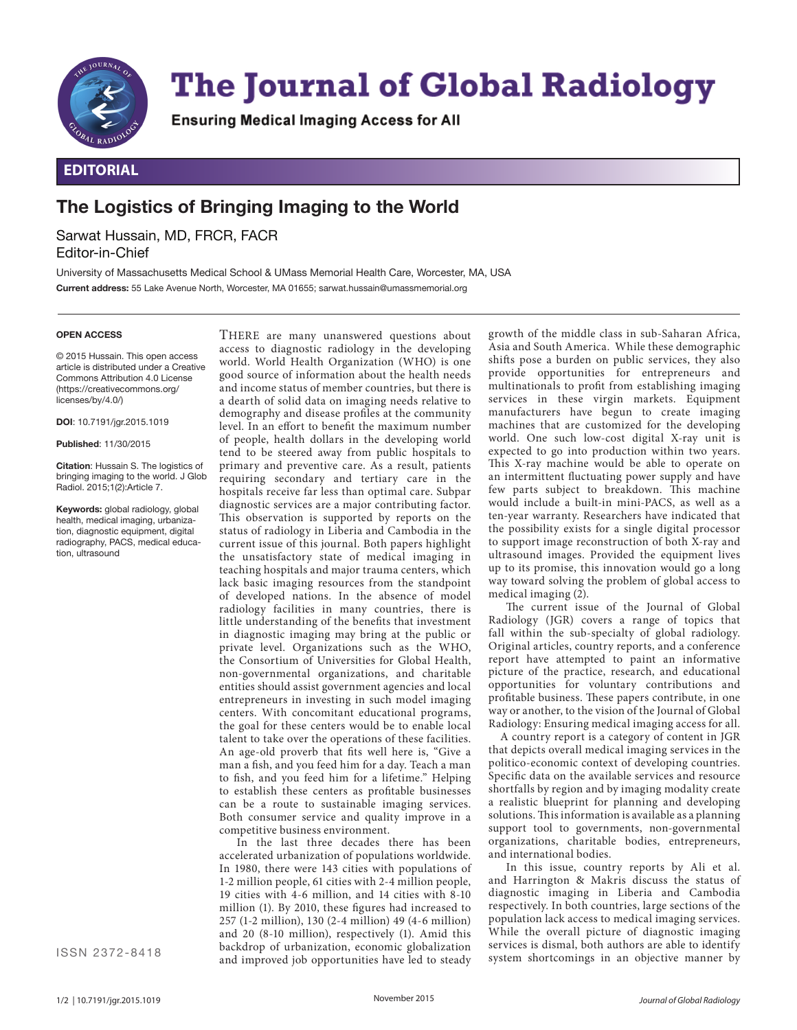

# **The Journal of Global Radiology**

**Ensuring Medical Imaging Access for All** 

## **EDITORIAL**

## **The Logistics of Bringing Imaging to the World**

Sarwat Hussain, MD, FRCR, FACR Editor-in-Chief

University of Massachusetts Medical School & UMass Memorial Health Care, Worcester, MA, USA **Current address:** 55 Lake Avenue North, Worcester, MA 01655; sarwat.hussain@umassmemorial.org

#### **OPEN ACCESS**

© 2015 Hussain. This open access article is distributed under a Creative Commons Attribution 4.0 License (https://creativecommons.org/ licenses/by/4.0/)

**DOI**: 10.7191/jgr.2015.1019

**Published**: 11/30/2015

**Citation**: Hussain S. The logistics of bringing imaging to the world. J Glob Radiol. 2015;1(2):Article 7.

**Keywords:** global radiology, global health, medical imaging, urbanization, diagnostic equipment, digital radiography, PACS, medical education, ultrasound

access to diagnostic radiology in the developing world. World Health Organization (WHO) is one good source of information about the health needs and income status of member countries, but there is a dearth of solid data on imaging needs relative to demography and disease profiles at the community level. In an effort to benefit the maximum number of people, health dollars in the developing world tend to be steered away from public hospitals to primary and preventive care. As a result, patients requiring secondary and tertiary care in the hospitals receive far less than optimal care. Subpar diagnostic services are a major contributing factor. This observation is supported by reports on the status of radiology in Liberia and Cambodia in the current issue of this journal. Both papers highlight the unsatisfactory state of medical imaging in teaching hospitals and major trauma centers, which lack basic imaging resources from the standpoint of developed nations. In the absence of model radiology facilities in many countries, there is little understanding of the benefits that investment in diagnostic imaging may bring at the public or private level. Organizations such as the WHO, the Consortium of Universities for Global Health, non-governmental organizations, and charitable entities should assist government agencies and local entrepreneurs in investing in such model imaging centers. With concomitant educational programs, the goal for these centers would be to enable local talent to take over the operations of these facilities. An age-old proverb that fits well here is, "Give a man a fish, and you feed him for a day. Teach a man to fish, and you feed him for a lifetime." Helping to establish these centers as profitable businesses can be a route to sustainable imaging services. Both consumer service and quality improve in a competitive business environment.

THERE are many unanswered questions about

In the last three decades there has been accelerated urbanization of populations worldwide. In 1980, there were 143 cities with populations of 1-2 million people, 61 cities with 2-4 million people, 19 cities with 4-6 million, and 14 cities with 8-10 million (1). By 2010, these figures had increased to 257 (1-2 million), 130 (2-4 million) 49 (4-6 million) and 20 (8-10 million), respectively (1). Amid this backdrop of urbanization, economic globalization and improved job opportunities have led to steady

growth of the middle class in sub-Saharan Africa, Asia and South America. While these demographic shifts pose a burden on public services, they also provide opportunities for entrepreneurs and multinationals to profit from establishing imaging services in these virgin markets. Equipment manufacturers have begun to create imaging machines that are customized for the developing world. One such low-cost digital X-ray unit is expected to go into production within two years. This X-ray machine would be able to operate on an intermittent fluctuating power supply and have few parts subject to breakdown. This machine would include a built-in mini-PACS, as well as a ten-year warranty. Researchers have indicated that the possibility exists for a single digital processor to support image reconstruction of both X-ray and ultrasound images. Provided the equipment lives up to its promise, this innovation would go a long way toward solving the problem of global access to medical imaging (2).

The current issue of the Journal of Global Radiology (JGR) covers a range of topics that fall within the sub-specialty of global radiology. Original articles, country reports, and a conference report have attempted to paint an informative picture of the practice, research, and educational opportunities for voluntary contributions and profitable business. These papers contribute, in one way or another, to the vision of the Journal of Global Radiology: Ensuring medical imaging access for all.

A country report is a category of content in JGR that depicts overall medical imaging services in the politico-economic context of developing countries. Specific data on the available services and resource shortfalls by region and by imaging modality create a realistic blueprint for planning and developing solutions. This information is available as a planning support tool to governments, non-governmental organizations, charitable bodies, entrepreneurs, and international bodies.

In this issue, country reports by Ali et al. and Harrington & Makris discuss the status of diagnostic imaging in Liberia and Cambodia respectively. In both countries, large sections of the population lack access to medical imaging services. While the overall picture of diagnostic imaging services is dismal, both authors are able to identify system shortcomings in an objective manner by